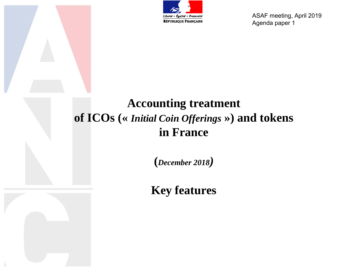

ASAF meeting, April 2019 Agenda paper 1

## **Accounting treatment of ICOs («** *Initial Coin Offerings* **») and tokens in France**

**(***December 2018)* 

**Key features**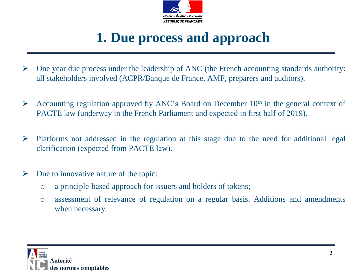

# **1. Due process and approach**

- $\triangleright$  One year due process under the leadership of ANC (the French accounting standards authority: all stakeholders involved (ACPR/Banque de France, AMF, preparers and auditors).
- Accounting regulation approved by ANC's Board on December  $10<sup>th</sup>$  in the general context of PACTE law (underway in the French Parliament and expected in first half of 2019).
- $\triangleright$  Platforms not addressed in the regulation at this stage due to the need for additional legal clarification (expected from PACTE law).
- $\triangleright$  Due to innovative nature of the topic:
	- o a principle-based approach for issuers and holders of tokens;
	- o assessment of relevance of regulation on a regular basis. Additions and amendments when necessary.

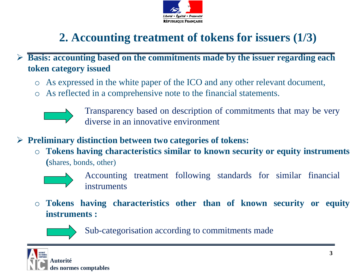

# **2. Accounting treatment of tokens for issuers (1/3)**

 **Basis: accounting based on the commitments made by the issuer regarding each token category issued**

- o As expressed in the white paper of the ICO and any other relevant document,
- o As reflected in a comprehensive note to the financial statements.



Transparency based on description of commitments that may be very diverse in an innovative environment

- **Preliminary distinction between two categories of tokens:**
	- o **Tokens having characteristics similar to known security or equity instruments (**shares, bonds, other)



Accounting treatment following standards for similar financial instruments

o **Tokens having characteristics other than of known security or equity instruments :**



Sub-categorisation according to commitments made

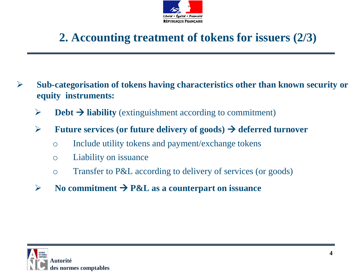

### **2. Accounting treatment of tokens for issuers (2/3)**

- **Sub-categorisation of tokens having characteristics other than known security or equity instruments:**
	- $\triangleright$  **Debt**  $\rightarrow$  **liability** (extinguishment according to commitment)
	- **Future services (or future delivery of goods)**  $\rightarrow$  **deferred turnover** 
		- o Include utility tokens and payment/exchange tokens
		- o Liability on issuance
		- o Transfer to P&L according to delivery of services (or goods)
	- $\triangleright$  No commitment  $\rightarrow$  P&L as a counterpart on issuance

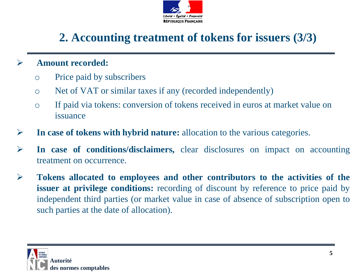

## **2. Accounting treatment of tokens for issuers (3/3)**

#### **Amount recorded:**

- o Price paid by subscribers
- o Net of VAT or similar taxes if any (recorded independently)
- o If paid via tokens: conversion of tokens received in euros at market value on issuance
- **In case of tokens with hybrid nature:** allocation to the various categories.
- **In case of conditions/disclaimers,** clear disclosures on impact on accounting treatment on occurrence.
- **Tokens allocated to employees and other contributors to the activities of the issuer at privilege conditions:** recording of discount by reference to price paid by independent third parties (or market value in case of absence of subscription open to such parties at the date of allocation).